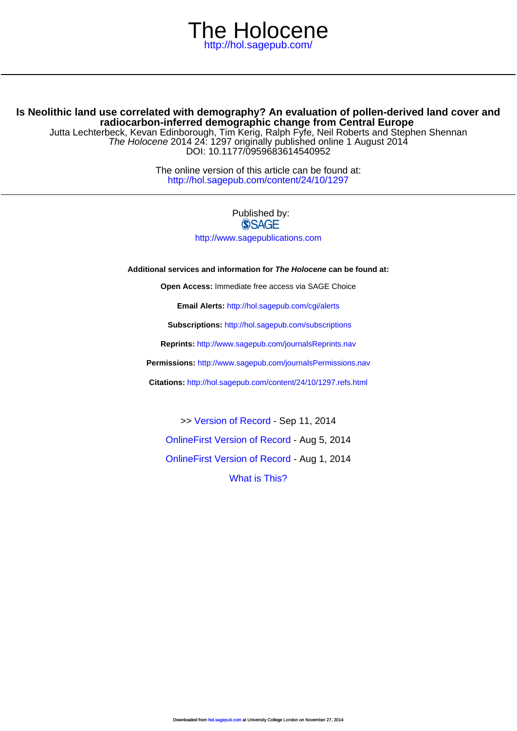

## **radiocarbon-inferred demographic change from Central Europe Is Neolithic land use correlated with demography? An evaluation of pollen-derived land cover and**

DOI: 10.1177/0959683614540952 The Holocene 2014 24: 1297 originally published online 1 August 2014 Jutta Lechterbeck, Kevan Edinborough, Tim Kerig, Ralph Fyfe, Neil Roberts and Stephen Shennan

> <http://hol.sagepub.com/content/24/10/1297> The online version of this article can be found at:

# Published by:<br>
SAGE

<http://www.sagepublications.com>

**Additional services and information for The Holocene can be found at:**

**Open Access:** Immediate free access via SAGE Choice

**Email Alerts:** <http://hol.sagepub.com/cgi/alerts>

**Subscriptions:** <http://hol.sagepub.com/subscriptions>

**Reprints:** <http://www.sagepub.com/journalsReprints.nav>

**Permissions:** <http://www.sagepub.com/journalsPermissions.nav>

**Citations:** <http://hol.sagepub.com/content/24/10/1297.refs.html>

[What is This?](http://online.sagepub.com/site/sphelp/vorhelp.xhtml) [OnlineFirst Version of Record -](http://hol.sagepub.com/content/early/2014/07/31/0959683614540952.full.pdf) Aug 1, 2014 [OnlineFirst Version of Record -](http://hol.sagepub.com/content/early/2014/08/05/0959683614540952.full.pdf) Aug 5, 2014 >> [Version of Record -](http://hol.sagepub.com/content/24/10/1297.full.pdf) Sep 11, 2014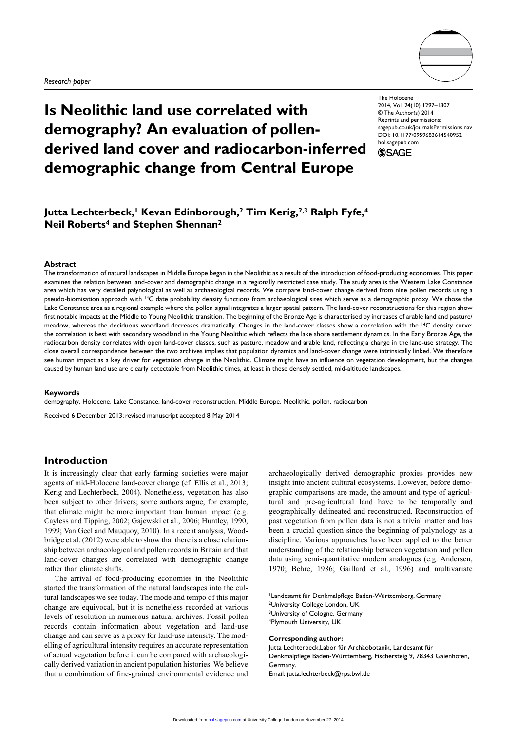

## **Is Neolithic land use correlated with demography? An evaluation of pollenderived land cover and radiocarbon-inferred demographic change from Central Europe**

The Holocene 2014, Vol. 24(10) 1297–1307 © The Author(s) 2014 Reprints and permissions: sagepub.co.uk/journalsPermissions.nav DOI: 10.1177/0959683614540952 hol.sagepub.com **SSAGE** 

**Jutta Lechterbeck,1 Kevan Edinborough,2 Tim Kerig,2,3 Ralph Fyfe,4 Neil Roberts4 and Stephen Shennan2**

#### **Abstract**

The transformation of natural landscapes in Middle Europe began in the Neolithic as a result of the introduction of food-producing economies. This paper examines the relation between land-cover and demographic change in a regionally restricted case study. The study area is the Western Lake Constance area which has very detailed palynological as well as archaeological records. We compare land-cover change derived from nine pollen records using a pseudo-biomisation approach with <sup>14</sup>C date probability density functions from archaeological sites which serve as a demographic proxy. We chose the Lake Constance area as a regional example where the pollen signal integrates a larger spatial pattern. The land-cover reconstructions for this region show first notable impacts at the Middle to Young Neolithic transition. The beginning of the Bronze Age is characterised by increases of arable land and pasture/ meadow, whereas the deciduous woodland decreases dramatically. Changes in the land-cover classes show a correlation with the 14C density curve: the correlation is best with secondary woodland in the Young Neolithic which reflects the lake shore settlement dynamics. In the Early Bronze Age, the radiocarbon density correlates with open land-cover classes, such as pasture, meadow and arable land, reflecting a change in the land-use strategy. The close overall correspondence between the two archives implies that population dynamics and land-cover change were intrinsically linked. We therefore see human impact as a key driver for vegetation change in the Neolithic. Climate might have an influence on vegetation development, but the changes caused by human land use are clearly detectable from Neolithic times, at least in these densely settled, mid-altitude landscapes.

#### **Keywords**

demography, Holocene, Lake Constance, land-cover reconstruction, Middle Europe, Neolithic, pollen, radiocarbon

Received 6 December 2013; revised manuscript accepted 8 May 2014

## **Introduction**

It is increasingly clear that early farming societies were major agents of mid-Holocene land-cover change (cf. Ellis et al., 2013; Kerig and Lechterbeck, 2004). Nonetheless, vegetation has also been subject to other drivers; some authors argue, for example, that climate might be more important than human impact (e.g. Cayless and Tipping, 2002; Gajewski et al., 2006; Huntley, 1990, 1999; Van Geel and Mauquoy, 2010). In a recent analysis, Woodbridge et al. (2012) were able to show that there is a close relationship between archaeological and pollen records in Britain and that land-cover changes are correlated with demographic change rather than climate shifts.

The arrival of food-producing economies in the Neolithic started the transformation of the natural landscapes into the cultural landscapes we see today. The mode and tempo of this major change are equivocal, but it is nonetheless recorded at various levels of resolution in numerous natural archives. Fossil pollen records contain information about vegetation and land-use change and can serve as a proxy for land-use intensity. The modelling of agricultural intensity requires an accurate representation of actual vegetation before it can be compared with archaeologically derived variation in ancient population histories. We believe that a combination of fine-grained environmental evidence and archaeologically derived demographic proxies provides new insight into ancient cultural ecosystems. However, before demographic comparisons are made, the amount and type of agricultural and pre-agricultural land have to be temporally and geographically delineated and reconstructed. Reconstruction of past vegetation from pollen data is not a trivial matter and has been a crucial question since the beginning of palynology as a discipline. Various approaches have been applied to the better understanding of the relationship between vegetation and pollen data using semi-quantitative modern analogues (e.g. Andersen, 1970; Behre, 1986; Gaillard et al., 1996) and multivariate

1Landesamt für Denkmalpflege Baden-Württemberg, Germany 2University College London, UK <sup>3</sup>University of Cologne, Germany 4Plymouth University, UK

**Corresponding author:**

Jutta Lechterbeck,Labor für Archäobotanik, Landesamt für Denkmalpflege Baden-Württemberg, Fischersteig 9, 78343 Gaienhofen, Germany. Email: jutta.lechterbeck@rps.bwl.de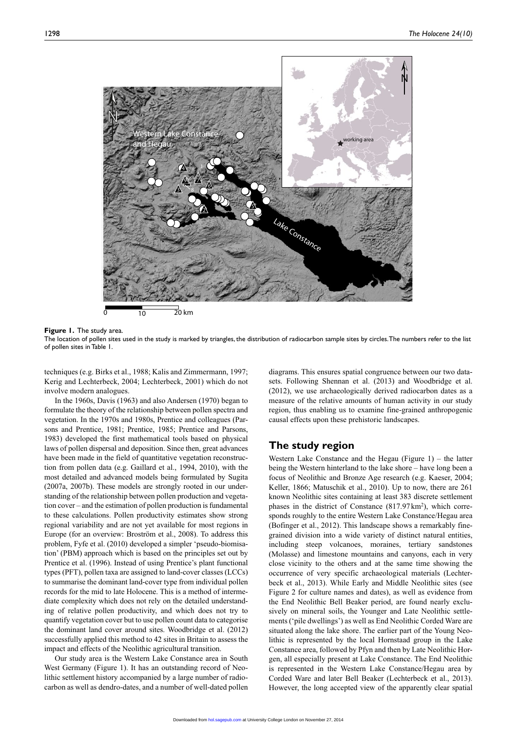

**Figure 1.** The study area.

The location of pollen sites used in the study is marked by triangles, the distribution of radiocarbon sample sites by circles. The numbers refer to the list of pollen sites in Table 1.

techniques (e.g. Birks et al., 1988; Kalis and Zimmermann, 1997; Kerig and Lechterbeck, 2004; Lechterbeck, 2001) which do not involve modern analogues.

In the 1960s, Davis (1963) and also Andersen (1970) began to formulate the theory of the relationship between pollen spectra and vegetation. In the 1970s and 1980s, Prentice and colleagues (Parsons and Prentice, 1981; Prentice, 1985; Prentice and Parsons, 1983) developed the first mathematical tools based on physical laws of pollen dispersal and deposition. Since then, great advances have been made in the field of quantitative vegetation reconstruction from pollen data (e.g. Gaillard et al., 1994, 2010), with the most detailed and advanced models being formulated by Sugita (2007a, 2007b). These models are strongly rooted in our understanding of the relationship between pollen production and vegetation cover – and the estimation of pollen production is fundamental to these calculations. Pollen productivity estimates show strong regional variability and are not yet available for most regions in Europe (for an overview: Broström et al., 2008). To address this problem, Fyfe et al. (2010) developed a simpler 'pseudo-biomisation' (PBM) approach which is based on the principles set out by Prentice et al. (1996). Instead of using Prentice's plant functional types (PFT), pollen taxa are assigned to land-cover classes (LCCs) to summarise the dominant land-cover type from individual pollen records for the mid to late Holocene. This is a method of intermediate complexity which does not rely on the detailed understanding of relative pollen productivity, and which does not try to quantify vegetation cover but to use pollen count data to categorise the dominant land cover around sites. Woodbridge et al. (2012) successfully applied this method to 42 sites in Britain to assess the impact and effects of the Neolithic agricultural transition.

Our study area is the Western Lake Constance area in South West Germany (Figure 1). It has an outstanding record of Neolithic settlement history accompanied by a large number of radiocarbon as well as dendro-dates, and a number of well-dated pollen diagrams. This ensures spatial congruence between our two datasets. Following Shennan et al. (2013) and Woodbridge et al. (2012), we use archaeologically derived radiocarbon dates as a measure of the relative amounts of human activity in our study region, thus enabling us to examine fine-grained anthropogenic causal effects upon these prehistoric landscapes.

## **The study region**

Western Lake Constance and the Hegau (Figure 1) – the latter being the Western hinterland to the lake shore – have long been a focus of Neolithic and Bronze Age research (e.g. Kaeser, 2004; Keller, 1866; Matuschik et al., 2010). Up to now, there are 261 known Neolithic sites containing at least 383 discrete settlement phases in the district of Constance (817.97 km<sup>2</sup>), which corresponds roughly to the entire Western Lake Constance/Hegau area (Bofinger et al., 2012). This landscape shows a remarkably finegrained division into a wide variety of distinct natural entities, including steep volcanoes, moraines, tertiary sandstones (Molasse) and limestone mountains and canyons, each in very close vicinity to the others and at the same time showing the occurrence of very specific archaeological materials (Lechterbeck et al., 2013). While Early and Middle Neolithic sites (see Figure 2 for culture names and dates), as well as evidence from the End Neolithic Bell Beaker period, are found nearly exclusively on mineral soils, the Younger and Late Neolithic settlements ('pile dwellings') as well as End Neolithic Corded Ware are situated along the lake shore. The earlier part of the Young Neolithic is represented by the local Hornstaad group in the Lake Constance area, followed by Pfyn and then by Late Neolithic Horgen, all especially present at Lake Constance. The End Neolithic is represented in the Western Lake Constance/Hegau area by Corded Ware and later Bell Beaker (Lechterbeck et al., 2013). However, the long accepted view of the apparently clear spatial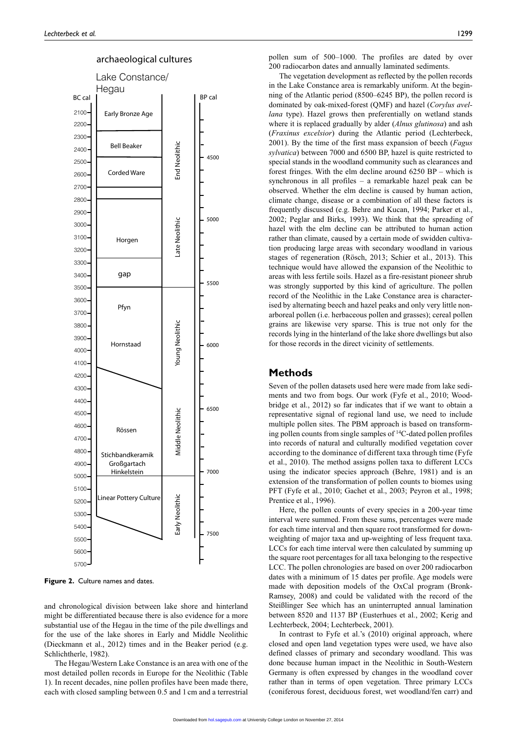

**Figure 2.** Culture names and dates.

and chronological division between lake shore and hinterland might be differentiated because there is also evidence for a more substantial use of the Hegau in the time of the pile dwellings and for the use of the lake shores in Early and Middle Neolithic (Dieckmann et al., 2012) times and in the Beaker period (e.g. Schlichtherle, 1982).

The Hegau/Western Lake Constance is an area with one of the most detailed pollen records in Europe for the Neolithic (Table 1). In recent decades, nine pollen profiles have been made there, each with closed sampling between 0.5 and 1 cm and a terrestrial pollen sum of 500–1000. The profiles are dated by over 200 radiocarbon dates and annually laminated sediments.

The vegetation development as reflected by the pollen records in the Lake Constance area is remarkably uniform. At the beginning of the Atlantic period (8500–6245 BP), the pollen record is dominated by oak-mixed-forest (QMF) and hazel (*Corylus avellana* type). Hazel grows then preferentially on wetland stands where it is replaced gradually by alder (*Alnus glutinosa*) and ash (*Fraxinus excelsior*) during the Atlantic period (Lechterbeck, 2001). By the time of the first mass expansion of beech (*Fagus sylvatica*) between 7000 and 6500 BP, hazel is quite restricted to special stands in the woodland community such as clearances and forest fringes. With the elm decline around 6250 BP – which is synchronous in all profiles – a remarkable hazel peak can be observed. Whether the elm decline is caused by human action, climate change, disease or a combination of all these factors is frequently discussed (e.g. Behre and Kucan, 1994; Parker et al., 2002; Peglar and Birks, 1993). We think that the spreading of hazel with the elm decline can be attributed to human action rather than climate, caused by a certain mode of swidden cultivation producing large areas with secondary woodland in various stages of regeneration (Rösch, 2013; Schier et al., 2013). This technique would have allowed the expansion of the Neolithic to areas with less fertile soils. Hazel as a fire-resistant pioneer shrub was strongly supported by this kind of agriculture. The pollen record of the Neolithic in the Lake Constance area is characterised by alternating beech and hazel peaks and only very little nonarboreal pollen (i.e. herbaceous pollen and grasses); cereal pollen grains are likewise very sparse. This is true not only for the records lying in the hinterland of the lake shore dwellings but also for those records in the direct vicinity of settlements.

## **Methods**

Seven of the pollen datasets used here were made from lake sediments and two from bogs. Our work (Fyfe et al., 2010; Woodbridge et al., 2012) so far indicates that if we want to obtain a representative signal of regional land use, we need to include multiple pollen sites. The PBM approach is based on transforming pollen counts from single samples of 14C-dated pollen profiles into records of natural and culturally modified vegetation cover according to the dominance of different taxa through time (Fyfe et al., 2010). The method assigns pollen taxa to different LCCs using the indicator species approach (Behre, 1981) and is an extension of the transformation of pollen counts to biomes using PFT (Fyfe et al., 2010; Gachet et al., 2003; Peyron et al., 1998; Prentice et al., 1996).

Here, the pollen counts of every species in a 200-year time interval were summed. From these sums, percentages were made for each time interval and then square root transformed for downweighting of major taxa and up-weighting of less frequent taxa. LCCs for each time interval were then calculated by summing up the square root percentages for all taxa belonging to the respective LCC. The pollen chronologies are based on over 200 radiocarbon dates with a minimum of 15 dates per profile. Age models were made with deposition models of the OxCal program (Bronk-Ramsey, 2008) and could be validated with the record of the Steißlinger See which has an uninterrupted annual lamination between 8520 and 1137 BP (Eusterhues et al., 2002; Kerig and Lechterbeck, 2004; Lechterbeck, 2001).

In contrast to Fyfe et al.'s (2010) original approach, where closed and open land vegetation types were used, we have also defined classes of primary and secondary woodland. This was done because human impact in the Neolithic in South-Western Germany is often expressed by changes in the woodland cover rather than in terms of open vegetation. Three primary LCCs (coniferous forest, deciduous forest, wet woodland/fen carr) and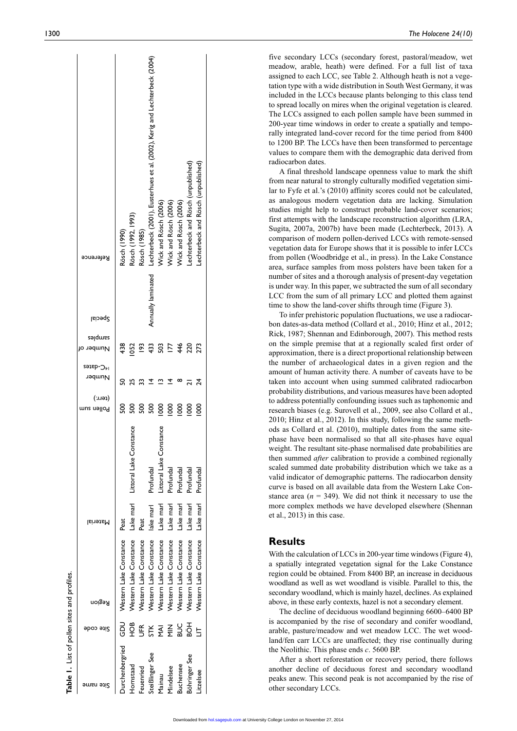| Reference             | Rösch (1990)           | Rösch (1992, 1993)      | Rösch (1985)             | Lechterbeck (2001), Eusterhues et al. (2002), Kerig and Lechterbeck (2004) | Wick and Rösch (2006)   | Nick and Rösch (2006)  | Nick and Rösch (2006)  | echterbeck and Rösch (unpublished) | echterbeck and Rösch (unpublished) |  |
|-----------------------|------------------------|-------------------------|--------------------------|----------------------------------------------------------------------------|-------------------------|------------------------|------------------------|------------------------------------|------------------------------------|--|
| Special               |                        |                         |                          | Annually laminated                                                         |                         |                        |                        |                                    |                                    |  |
| səlqmsz<br>Number of  | 438                    | 052                     | 193                      | 433                                                                        | $rac{3}{7}$             |                        | 446                    | 220                                | 273                                |  |
| ιય⊂-q¤tes<br>Number   | ន                      | 25                      | 33                       | ±                                                                          | ≏                       | ᅕ                      | œ                      | $\overline{a}$                     | $\overline{2}$                     |  |
| (terr.)<br>Pollen sum | 500                    | 500                     | 500                      | 500                                                                        | $\frac{8}{2}$           | $\frac{8}{2}$          | 1000                   | 000                                | g                                  |  |
|                       |                        | Littoral Lake Constance |                          | Profundal                                                                  | Littoral Lake Constance | Profundal              | Profundal              | Profundal                          | Profundal                          |  |
| Material              | Peat                   | Lake marl               | Peat                     | lake marl                                                                  | Lake marl               | Lake marl              | Lake marl              | Lake marl                          | Lake marl                          |  |
| Region                | Western Lake Constance | Western Lake Constance  | Western Lake Constance   | Western Lake Constance                                                     | Western Lake Constance  | Western Lake Constance | Western Lake Constance | Western Lake Constance             | Western Lake Constance             |  |
| Site code             | $\vec{e}$              | OB<br>CH                | $\widetilde{\mathbb{F}}$ | <b>STK</b>                                                                 | $\overline{\mathbf{z}}$ | $\frac{Z}{\Sigma}$     | <b>H</b> SR            |                                    |                                    |  |
| Site name             | <b>Durchenbergried</b> | Hornstaad               | euenried                 | Steißlinger See                                                            | Mainau                  | <b>lindelsee</b>       | <b>Buchensee</b>       | Böhringer See                      | itzelsee                           |  |

**Table 1.** List of pollen sites and profiles.

Table 1. List of pollen sites and profiles.

five secondary LCCs (secondary forest, pastoral/meadow, wet meadow, arable, heath) were defined. For a full list of taxa assigned to each LCC, see Table 2. Although heath is not a vegetation type with a wide distribution in South West Germany, it was included in the LCCs because plants belonging to this class tend to spread locally on mires when the original vegetation is cleared. The LCCs assigned to each pollen sample have been summed in 200-year time windows in order to create a spatially and temporally integrated land-cover record for the time period from 8400 to 1200 BP. The LCCs have then been transformed to percentage values to compare them with the demographic data derived from radiocarbon dates.

A final threshold landscape openness value to mark the shift from near natural to strongly culturally modified vegetation similar to Fyfe et al.'s (2010) affinity scores could not be calculated, as analogous modern vegetation data are lacking. Simulation studies might help to construct probable land-cover scenarios; first attempts with the landscape reconstruction algorithm (LRA, Sugita, 2007a, 2007b) have been made (Lechterbeck, 2013). A comparison of modern pollen-derived LCCs with remote-sensed vegetation data for Europe shows that it is possible to infer LCCs from pollen (Woodbridge et al., in press). In the Lake Constance area, surface samples from moss polsters have been taken for a number of sites and a thorough analysis of present-day vegetation is under way. In this paper, we subtracted the sum of all secondary LCC from the sum of all primary LCC and plotted them against time to show the land-cover shifts through time (Figure 3).

To infer prehistoric population fluctuations, we use a radiocarbon dates-as-data method (Collard et al., 2010; Hinz et al., 2012; Rick, 1987; Shennan and Edinborough, 2007). This method rests on the simple premise that at a regionally scaled first order of approximation, there is a direct proportional relationship between the number of archaeological dates in a given region and the amount of human activity there. A number of caveats have to be taken into account when using summed calibrated radiocarbon probability distributions, and various measures have been adopted to address potentially confounding issues such as taphonomic and research biases (e.g. Surovell et al., 2009, see also Collard et al., 2010; Hinz et al., 2012). In this study, following the same methods as Collard et al. (2010), multiple dates from the same sitephase have been normalised so that all site-phases have equal weight. The resultant site-phase normalised date probabilities are then summed *after* calibration to provide a combined regionally scaled summed date probability distribution which we take as a valid indicator of demographic patterns. The radiocarbon density curve is based on all available data from the Western Lake Constance area  $(n = 349)$ . We did not think it necessary to use the more complex methods we have developed elsewhere (Shennan et al., 2013) in this case.

## **Results**

With the calculation of LCCs in 200-year time windows (Figure 4), a spatially integrated vegetation signal for the Lake Constance region could be obtained. From 8400 BP, an increase in deciduous woodland as well as wet woodland is visible. Parallel to this, the secondary woodland, which is mainly hazel, declines. As explained above, in these early contexts, hazel is not a secondary element.

The decline of deciduous woodland beginning 6600–6400 BP is accompanied by the rise of secondary and conifer woodland, arable, pasture/meadow and wet meadow LCC. The wet woodland/fen carr LCCs are unaffected; they rise continually during the Neolithic. This phase ends *c*. 5600 BP.

After a short reforestation or recovery period, there follows another decline of deciduous forest and secondary woodland peaks anew. This second peak is not accompanied by the rise of other secondary LCCs.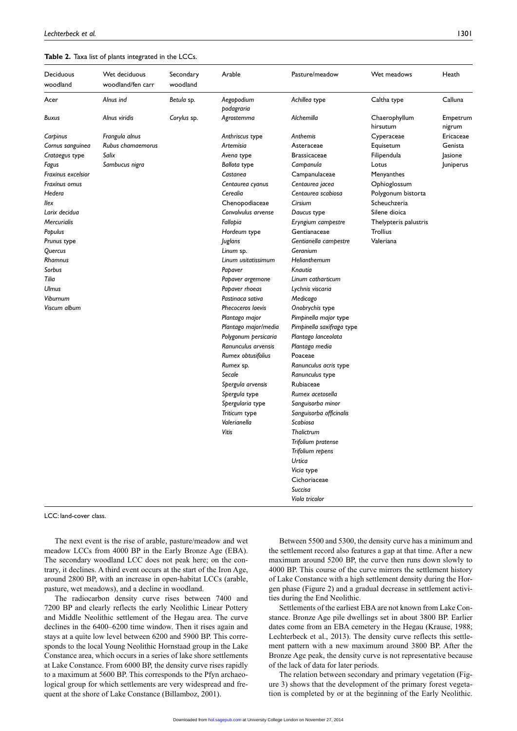#### **Table 2.** Taxa list of plants integrated in the LCCs.

| Deciduous<br>woodland | Wet deciduous<br>Secondary<br>Arable<br>woodland<br>woodland/fen carr |             |                          | Pasture/meadow            | Wet meadows               | Heath              |  |
|-----------------------|-----------------------------------------------------------------------|-------------|--------------------------|---------------------------|---------------------------|--------------------|--|
|                       |                                                                       |             |                          |                           |                           |                    |  |
| Acer                  | Alnus ind                                                             | Betula sp.  | Aegopodium<br>podagraria | Achillea type             | Caltha type               | Calluna            |  |
| Buxus                 | Alnus viridis                                                         | Corylus sp. | Agrostemma               | Alchemilla                | Chaerophyllum<br>hirsutum | Empetrum<br>nigrum |  |
| Carpinus              | Frangula alnus                                                        |             | Anthriscus type          | Anthemis                  | Cyperaceae                | Ericaceae          |  |
| Cornus sanguinea      | Rubus chamaemorus                                                     |             | Artemisia                | Asteraceae                | Equisetum                 | Genista            |  |
| Crataegus type        | Salix                                                                 |             | Avena type               | <b>Brassicaceae</b>       | Filipendula               | lasione            |  |
| Fagus                 | Sambucus nigra                                                        |             | Ballota type             | Campanula                 | Lotus                     | Juniperus          |  |
| Fraxinus excelsior    |                                                                       |             | Castanea                 | Campanulaceae             | Menyanthes                |                    |  |
| Fraxinus ornus        |                                                                       |             | Centaurea cyanus         | Centaurea jacea           | Ophioglossum              |                    |  |
| Hedera                |                                                                       |             | Cerealia                 | Centaurea scabiosa        | Polygonum bistorta        |                    |  |
| llex                  |                                                                       |             | Chenopodiaceae           | Cirsium                   | Scheuchzeria              |                    |  |
| Larix decidua         |                                                                       |             | Convolvulus arvense      | Daucus type               | Silene dioica             |                    |  |
| <b>Mercurialis</b>    |                                                                       |             | Fallopia                 | Eryngium campestre        | Thelypteris palustris     |                    |  |
| Populus               |                                                                       |             | Hordeum type             | Gentianaceae              | <b>Trollius</b>           |                    |  |
| Prunus type           |                                                                       |             | Juglans                  | Gentianella campestre     | Valeriana                 |                    |  |
| Quercus               |                                                                       |             | Linum sp.                | Geranium                  |                           |                    |  |
| Rhamnus               |                                                                       |             | Linum usitatissimum      | Helianthemum              |                           |                    |  |
| Sorbus                |                                                                       |             | Papaver                  | Knautia                   |                           |                    |  |
| Tilia                 |                                                                       |             | Papaver argemone         | Linum catharticum         |                           |                    |  |
| Ulmus                 |                                                                       |             | Papaver rhoeas           | Lychnis viscaria          |                           |                    |  |
| Viburnum              |                                                                       |             | Pastinaca sativa         | Medicago                  |                           |                    |  |
| Viscum album          |                                                                       |             | Phecoceros laevis        | Onobrychis type           |                           |                    |  |
|                       |                                                                       |             | Plantago major           | Pimpinella major type     |                           |                    |  |
|                       |                                                                       |             | Plantago major/media     | Pimpinella saxifraga type |                           |                    |  |
|                       |                                                                       |             | Polygonum persicaria     | Plantago lanceolata       |                           |                    |  |
|                       |                                                                       |             | Ranunculus arvensis      | Plantago media            |                           |                    |  |
|                       |                                                                       |             | Rumex obtusifolius       | Poaceae                   |                           |                    |  |
|                       |                                                                       |             | Rumex sp.                | Ranunculus acris type     |                           |                    |  |
|                       |                                                                       |             | Secale                   | Ranunculus type           |                           |                    |  |
|                       |                                                                       |             | Spergula arvensis        | Rubiaceae                 |                           |                    |  |
|                       |                                                                       |             | Spergula type            | Rumex acetosella          |                           |                    |  |
|                       |                                                                       |             | Spergularia type         | Sanguisorba minor         |                           |                    |  |
|                       |                                                                       |             | Triticum type            | Sanguisorba officinalis   |                           |                    |  |
|                       |                                                                       |             | Valerianella             | <b>Scabiosa</b>           |                           |                    |  |
|                       |                                                                       |             | Vitis                    | Thalictrum                |                           |                    |  |
|                       |                                                                       |             |                          | Trifolium pratense        |                           |                    |  |
|                       |                                                                       |             |                          | Trifolium repens          |                           |                    |  |
|                       |                                                                       |             |                          | Urtica                    |                           |                    |  |
|                       |                                                                       |             |                          | Vicia type                |                           |                    |  |
|                       |                                                                       |             |                          | Cichoriaceae              |                           |                    |  |
|                       |                                                                       |             |                          | Succisa                   |                           |                    |  |
|                       |                                                                       |             |                          | Viola tricolor            |                           |                    |  |

LCC: land-cover class.

The next event is the rise of arable, pasture/meadow and wet meadow LCCs from 4000 BP in the Early Bronze Age (EBA). The secondary woodland LCC does not peak here; on the contrary, it declines. A third event occurs at the start of the Iron Age, around 2800 BP, with an increase in open-habitat LCCs (arable, pasture, wet meadows), and a decline in woodland.

The radiocarbon density curve rises between 7400 and 7200 BP and clearly reflects the early Neolithic Linear Pottery and Middle Neolithic settlement of the Hegau area. The curve declines in the 6400–6200 time window. Then it rises again and stays at a quite low level between 6200 and 5900 BP. This corresponds to the local Young Neolithic Hornstaad group in the Lake Constance area, which occurs in a series of lake shore settlements at Lake Constance. From 6000 BP, the density curve rises rapidly to a maximum at 5600 BP. This corresponds to the Pfyn archaeological group for which settlements are very widespread and frequent at the shore of Lake Constance (Billamboz, 2001).

Between 5500 and 5300, the density curve has a minimum and the settlement record also features a gap at that time. After a new maximum around 5200 BP, the curve then runs down slowly to 4000 BP. This course of the curve mirrors the settlement history of Lake Constance with a high settlement density during the Horgen phase (Figure 2) and a gradual decrease in settlement activities during the End Neolithic.

Settlements of the earliest EBA are not known from Lake Constance. Bronze Age pile dwellings set in about 3800 BP. Earlier dates come from an EBA cemetery in the Hegau (Krause, 1988; Lechterbeck et al., 2013). The density curve reflects this settlement pattern with a new maximum around 3800 BP. After the Bronze Age peak, the density curve is not representative because of the lack of data for later periods.

The relation between secondary and primary vegetation (Figure 3) shows that the development of the primary forest vegetation is completed by or at the beginning of the Early Neolithic.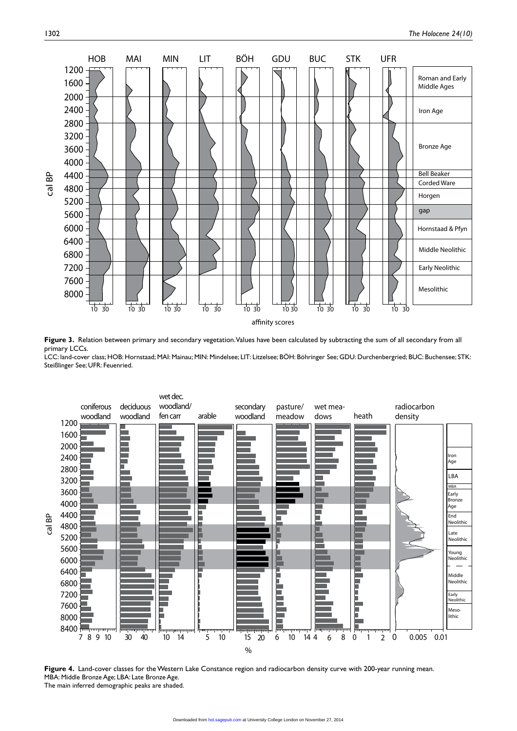

**Figure 3.** Relation between primary and secondary vegetation. Values have been calculated by subtracting the sum of all secondary from all primary LCCs.

LCC: land-cover class; HOB: Hornstaad; MAI: Mainau; MIN: Mindelsee; LIT: Litzelsee; BÖH: Böhringer See; GDU: Durchenbergried; BUC: Buchensee; STK: Steißlinger See; UFR: Feuenried.



**Figure 4.** Land-cover classes for the Western Lake Constance region and radiocarbon density curve with 200-year running mean. MBA: Middle Bronze Age; LBA: Late Bronze Age. The main inferred demographic peaks are shaded.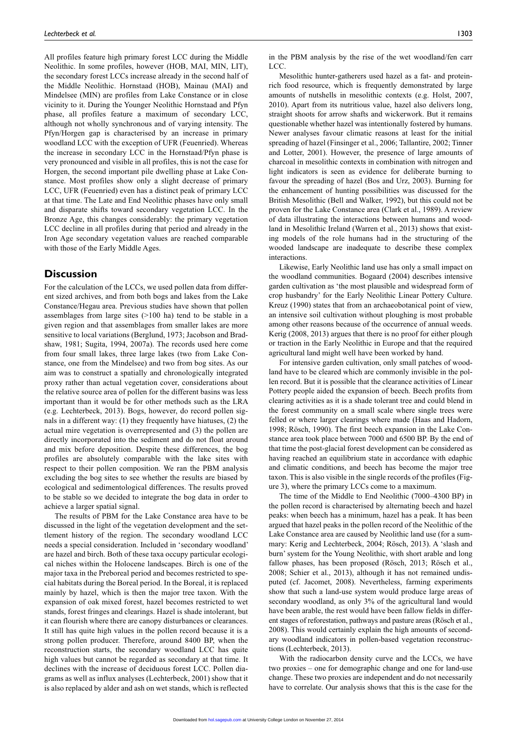All profiles feature high primary forest LCC during the Middle Neolithic. In some profiles, however (HOB, MAI, MIN, LIT), the secondary forest LCCs increase already in the second half of the Middle Neolithic. Hornstaad (HOB), Mainau (MAI) and Mindelsee (MIN) are profiles from Lake Constance or in close vicinity to it. During the Younger Neolithic Hornstaad and Pfyn phase, all profiles feature a maximum of secondary LCC, although not wholly synchronous and of varying intensity. The Pfyn/Horgen gap is characterised by an increase in primary woodland LCC with the exception of UFR (Feuenried). Whereas the increase in secondary LCC in the Hornstaad/Pfyn phase is very pronounced and visible in all profiles, this is not the case for Horgen, the second important pile dwelling phase at Lake Constance. Most profiles show only a slight decrease of primary LCC, UFR (Feuenried) even has a distinct peak of primary LCC at that time. The Late and End Neolithic phases have only small and disparate shifts toward secondary vegetation LCC. In the Bronze Age, this changes considerably: the primary vegetation LCC decline in all profiles during that period and already in the Iron Age secondary vegetation values are reached comparable with those of the Early Middle Ages.

## **Discussion**

For the calculation of the LCCs, we used pollen data from different sized archives, and from both bogs and lakes from the Lake Constance/Hegau area. Previous studies have shown that pollen assemblages from large sites (>100 ha) tend to be stable in a given region and that assemblages from smaller lakes are more sensitive to local variations (Berglund, 1973; Jacobson and Bradshaw, 1981; Sugita, 1994, 2007a). The records used here come from four small lakes, three large lakes (two from Lake Constance, one from the Mindelsee) and two from bog sites. As our aim was to construct a spatially and chronologically integrated proxy rather than actual vegetation cover, considerations about the relative source area of pollen for the different basins was less important than it would be for other methods such as the LRA (e.g. Lechterbeck, 2013). Bogs, however, do record pollen signals in a different way: (1) they frequently have hiatuses, (2) the actual mire vegetation is overrepresented and (3) the pollen are directly incorporated into the sediment and do not float around and mix before deposition. Despite these differences, the bog profiles are absolutely comparable with the lake sites with respect to their pollen composition. We ran the PBM analysis excluding the bog sites to see whether the results are biased by ecological and sedimentological differences. The results proved to be stable so we decided to integrate the bog data in order to achieve a larger spatial signal.

The results of PBM for the Lake Constance area have to be discussed in the light of the vegetation development and the settlement history of the region. The secondary woodland LCC needs a special consideration. Included in 'secondary woodland' are hazel and birch. Both of these taxa occupy particular ecological niches within the Holocene landscapes. Birch is one of the major taxa in the Preboreal period and becomes restricted to special habitats during the Boreal period. In the Boreal, it is replaced mainly by hazel, which is then the major tree taxon. With the expansion of oak mixed forest, hazel becomes restricted to wet stands, forest fringes and clearings. Hazel is shade intolerant, but it can flourish where there are canopy disturbances or clearances. It still has quite high values in the pollen record because it is a strong pollen producer. Therefore, around 8400 BP, when the reconstruction starts, the secondary woodland LCC has quite high values but cannot be regarded as secondary at that time. It declines with the increase of deciduous forest LCC. Pollen diagrams as well as influx analyses (Lechterbeck, 2001) show that it is also replaced by alder and ash on wet stands, which is reflected

in the PBM analysis by the rise of the wet woodland/fen carr LCC.

Mesolithic hunter-gatherers used hazel as a fat- and proteinrich food resource, which is frequently demonstrated by large amounts of nutshells in mesolithic contexts (e.g. Holst, 2007, 2010). Apart from its nutritious value, hazel also delivers long, straight shoots for arrow shafts and wickerwork. But it remains questionable whether hazel was intentionally fostered by humans. Newer analyses favour climatic reasons at least for the initial spreading of hazel (Finsinger et al., 2006; Tallantire, 2002; Tinner and Lotter, 2001). However, the presence of large amounts of charcoal in mesolithic contexts in combination with nitrogen and light indicators is seen as evidence for deliberate burning to favour the spreading of hazel (Bos and Urz, 2003). Burning for the enhancement of hunting possibilities was discussed for the British Mesolithic (Bell and Walker, 1992), but this could not be proven for the Lake Constance area (Clark et al., 1989). A review of data illustrating the interactions between humans and woodland in Mesolithic Ireland (Warren et al., 2013) shows that existing models of the role humans had in the structuring of the wooded landscape are inadequate to describe these complex interactions.

Likewise, Early Neolithic land use has only a small impact on the woodland communities. Bogaard (2004) describes intensive garden cultivation as 'the most plausible and widespread form of crop husbandry' for the Early Neolithic Linear Pottery Culture. Kreuz (1990) states that from an archaeobotanical point of view, an intensive soil cultivation without ploughing is most probable among other reasons because of the occurrence of annual weeds. Kerig (2008, 2013) argues that there is no proof for either plough or traction in the Early Neolithic in Europe and that the required agricultural land might well have been worked by hand.

For intensive garden cultivation, only small patches of woodland have to be cleared which are commonly invisible in the pollen record. But it is possible that the clearance activities of Linear Pottery people aided the expansion of beech. Beech profits from clearing activities as it is a shade tolerant tree and could blend in the forest community on a small scale where single trees were felled or where larger clearings where made (Haas and Hadorn, 1998; Rösch, 1990). The first beech expansion in the Lake Constance area took place between 7000 and 6500 BP. By the end of that time the post-glacial forest development can be considered as having reached an equilibrium state in accordance with edaphic and climatic conditions, and beech has become the major tree taxon. This is also visible in the single records of the profiles (Figure 3), where the primary LCCs come to a maximum.

The time of the Middle to End Neolithic (7000–4300 BP) in the pollen record is characterised by alternating beech and hazel peaks: when beech has a minimum, hazel has a peak. It has been argued that hazel peaks in the pollen record of the Neolithic of the Lake Constance area are caused by Neolithic land use (for a summary: Kerig and Lechterbeck, 2004; Rösch, 2013). A 'slash and burn' system for the Young Neolithic, with short arable and long fallow phases, has been proposed (Rösch, 2013; Rösch et al., 2008; Schier et al., 2013), although it has not remained undisputed (cf. Jacomet, 2008). Nevertheless, farming experiments show that such a land-use system would produce large areas of secondary woodland, as only 3% of the agricultural land would have been arable, the rest would have been fallow fields in different stages of reforestation, pathways and pasture areas (Rösch et al., 2008). This would certainly explain the high amounts of secondary woodland indicators in pollen-based vegetation reconstructions (Lechterbeck, 2013).

With the radiocarbon density curve and the LCCs, we have two proxies – one for demographic change and one for land-use change. These two proxies are independent and do not necessarily have to correlate. Our analysis shows that this is the case for the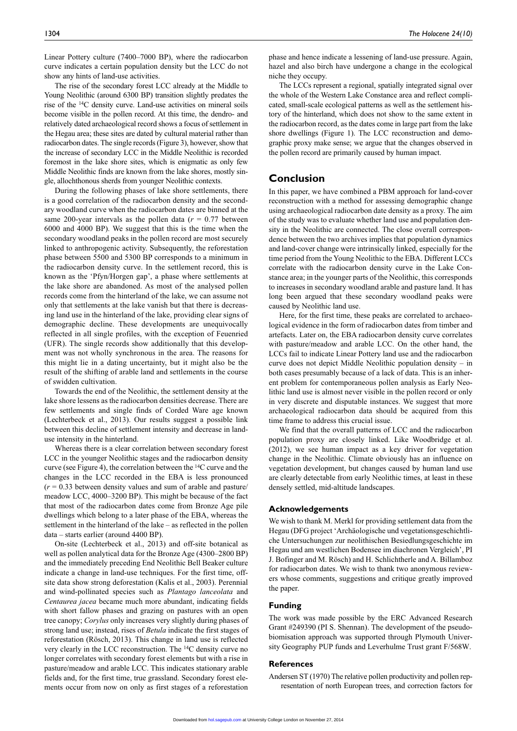Linear Pottery culture (7400–7000 BP), where the radiocarbon curve indicates a certain population density but the LCC do not show any hints of land-use activities.

The rise of the secondary forest LCC already at the Middle to Young Neolithic (around 6300 BP) transition slightly predates the rise of the 14C density curve. Land-use activities on mineral soils become visible in the pollen record. At this time, the dendro- and relatively dated archaeological record shows a focus of settlement in the Hegau area; these sites are dated by cultural material rather than radiocarbon dates. The single records (Figure 3), however, show that the increase of secondary LCC in the Middle Neolithic is recorded foremost in the lake shore sites, which is enigmatic as only few Middle Neolithic finds are known from the lake shores, mostly single, allochthonous sherds from younger Neolithic contexts.

During the following phases of lake shore settlements, there is a good correlation of the radiocarbon density and the secondary woodland curve when the radiocarbon dates are binned at the same 200-year intervals as the pollen data  $(r = 0.77)$  between 6000 and 4000 BP). We suggest that this is the time when the secondary woodland peaks in the pollen record are most securely linked to anthropogenic activity. Subsequently, the reforestation phase between 5500 and 5300 BP corresponds to a minimum in the radiocarbon density curve. In the settlement record, this is known as the 'Pfyn/Horgen gap', a phase where settlements at the lake shore are abandoned. As most of the analysed pollen records come from the hinterland of the lake, we can assume not only that settlements at the lake vanish but that there is decreasing land use in the hinterland of the lake, providing clear signs of demographic decline. These developments are unequivocally reflected in all single profiles, with the exception of Feuenried (UFR). The single records show additionally that this development was not wholly synchronous in the area. The reasons for this might lie in a dating uncertainty, but it might also be the result of the shifting of arable land and settlements in the course of swidden cultivation.

Towards the end of the Neolithic, the settlement density at the lake shore lessens as the radiocarbon densities decrease. There are few settlements and single finds of Corded Ware age known (Lechterbeck et al., 2013). Our results suggest a possible link between this decline of settlement intensity and decrease in landuse intensity in the hinterland.

Whereas there is a clear correlation between secondary forest LCC in the younger Neolithic stages and the radiocarbon density curve (see Figure 4), the correlation between the 14C curve and the changes in the LCC recorded in the EBA is less pronounced  $(r = 0.33$  between density values and sum of arable and pasture/ meadow LCC, 4000–3200 BP). This might be because of the fact that most of the radiocarbon dates come from Bronze Age pile dwellings which belong to a later phase of the EBA, whereas the settlement in the hinterland of the lake – as reflected in the pollen data – starts earlier (around 4400 BP).

On-site (Lechterbeck et al., 2013) and off-site botanical as well as pollen analytical data for the Bronze Age (4300–2800 BP) and the immediately preceding End Neolithic Bell Beaker culture indicate a change in land-use techniques. For the first time, offsite data show strong deforestation (Kalis et al., 2003). Perennial and wind-pollinated species such as *Plantago lanceolata* and *Centaurea jacea* became much more abundant, indicating fields with short fallow phases and grazing on pastures with an open tree canopy; *Corylus* only increases very slightly during phases of strong land use; instead, rises of *Betula* indicate the first stages of reforestation (Rösch, 2013). This change in land use is reflected very clearly in the LCC reconstruction. The 14C density curve no longer correlates with secondary forest elements but with a rise in pasture/meadow and arable LCC. This indicates stationary arable fields and, for the first time, true grassland. Secondary forest elements occur from now on only as first stages of a reforestation

phase and hence indicate a lessening of land-use pressure. Again, hazel and also birch have undergone a change in the ecological niche they occupy.

The LCCs represent a regional, spatially integrated signal over the whole of the Western Lake Constance area and reflect complicated, small-scale ecological patterns as well as the settlement history of the hinterland, which does not show to the same extent in the radiocarbon record, as the dates come in large part from the lake shore dwellings (Figure 1). The LCC reconstruction and demographic proxy make sense; we argue that the changes observed in the pollen record are primarily caused by human impact.

## **Conclusion**

In this paper, we have combined a PBM approach for land-cover reconstruction with a method for assessing demographic change using archaeological radiocarbon date density as a proxy. The aim of the study was to evaluate whether land use and population density in the Neolithic are connected. The close overall correspondence between the two archives implies that population dynamics and land-cover change were intrinsically linked, especially for the time period from the Young Neolithic to the EBA. Different LCCs correlate with the radiocarbon density curve in the Lake Constance area; in the younger parts of the Neolithic, this corresponds to increases in secondary woodland arable and pasture land. It has long been argued that these secondary woodland peaks were caused by Neolithic land use.

Here, for the first time, these peaks are correlated to archaeological evidence in the form of radiocarbon dates from timber and artefacts. Later on, the EBA radiocarbon density curve correlates with pasture/meadow and arable LCC. On the other hand, the LCCs fail to indicate Linear Pottery land use and the radiocarbon curve does not depict Middle Neolithic population density – in both cases presumably because of a lack of data. This is an inherent problem for contemporaneous pollen analysis as Early Neolithic land use is almost never visible in the pollen record or only in very discrete and disputable instances. We suggest that more archaeological radiocarbon data should be acquired from this time frame to address this crucial issue.

We find that the overall patterns of LCC and the radiocarbon population proxy are closely linked. Like Woodbridge et al. (2012), we see human impact as a key driver for vegetation change in the Neolithic. Climate obviously has an influence on vegetation development, but changes caused by human land use are clearly detectable from early Neolithic times, at least in these densely settled, mid-altitude landscapes.

#### **Acknowledgements**

We wish to thank M. Merkl for providing settlement data from the Hegau (DFG project 'Archäologische und vegetationsgeschichtliche Untersuchungen zur neolithischen Besiedlungsgeschichte im Hegau und am westlichen Bodensee im diachronen Vergleich', PI J. Bofinger and M. Rösch) and H. Schlichtherle and A. Billamboz for radiocarbon dates. We wish to thank two anonymous reviewers whose comments, suggestions and critique greatly improved the paper.

#### **Funding**

The work was made possible by the ERC Advanced Research Grant #249390 (PI S. Shennan). The development of the pseudobiomisation approach was supported through Plymouth University Geography PUP funds and Leverhulme Trust grant F/568W.

#### **References**

Andersen ST (1970) The relative pollen productivity and pollen representation of north European trees, and correction factors for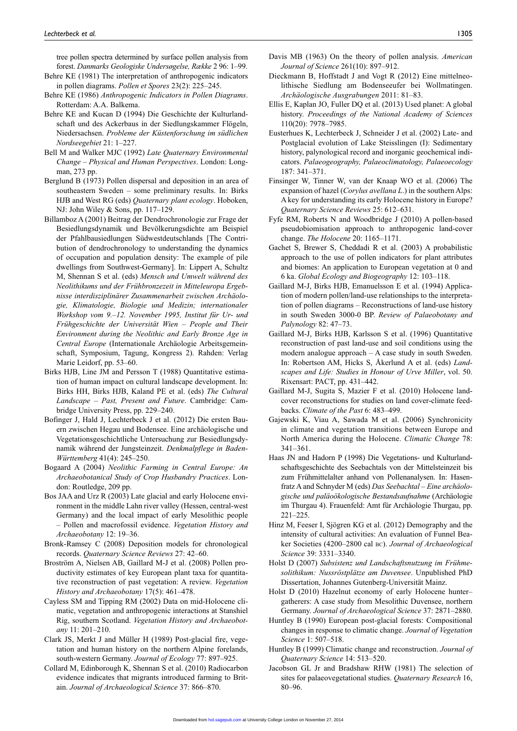tree pollen spectra determined by surface pollen analysis from forest. *Danmarks Geologiske Undersøgelse, Række* 2 96: 1–99.

- Behre KE (1981) The interpretation of anthropogenic indicators in pollen diagrams. *Pollen et Spores* 23(2): 225–245.
- Behre KE (1986) *Anthropogenic Indicators in Pollen Diagrams*. Rotterdam: A.A. Balkema.
- Behre KE and Kucan D (1994) Die Geschichte der Kulturlandschaft und des Ackerbaus in der Siedlungskammer Flögeln, Niedersachsen. *Probleme der Küstenforschung im südlichen Nordseegebiet* 21: 1–227.
- Bell M and Walker MJC (1992) *Late Quaternary Environmental Change – Physical and Human Perspectives*. London: Longman, 273 pp.
- Berglund B (1973) Pollen dispersal and deposition in an area of southeastern Sweden – some preliminary results. In: Birks HJB and West RG (eds) *Quaternary plant ecology*. Hoboken, NJ: John Wiley & Sons, pp. 117–129.
- Billamboz A (2001) Beitrag der Dendrochronologie zur Frage der Besiedlungsdynamik und Bevölkerungsdichte am Beispiel der Pfahlbausiedlungen Südwestdeutschlands [The Contribution of dendrochronology to understanding the dynamics of occupation and population density: The example of pile dwellings from Southwest-Germany]. In: Lippert A, Schultz M, Shennan S et al. (eds) *Mensch und Umwelt während des Neolithikums und der Frühbronzezeit in Mitteleuropa Ergebnisse interdisziplinärer Zusammenarbeit zwischen Archäologie, Klimatologie, Biologie und Medizin; internationaler Workshop vom 9.–12. November 1995, Institut für Ur- und Frühgeschichte der Universität Wien – People and Their Environment during the Neolithic and Early Bronze Age in Central Europe* (Internationale Archäologie Arbeitsgemeinschaft, Symposium, Tagung, Kongress 2). Rahden: Verlag Marie Leidorf, pp. 53–60.
- Birks HJB, Line JM and Persson T (1988) Quantitative estimation of human impact on cultural landscape development. In: Birks HH, Birks HJB, Kaland PE et al. (eds) *The Cultural Landscape – Past, Present and Future*. Cambridge: Cambridge University Press, pp. 229–240.
- Bofinger J, Hald J, Lechterbeck J et al. (2012) Die ersten Bauern zwischen Hegau und Bodensee. Eine archäologische und Vegetationsgeschichtliche Untersuchung zur Besiedlungsdynamik während der Jungsteinzeit. *Denkmalpflege in Baden-Württemberg* 41(4): 245–250.
- Bogaard A (2004) *Neolithic Farming in Central Europe: An Archaeobotanical Study of Crop Husbandry Practices*. London: Routledge, 209 pp.
- Bos JAA and Urz R (2003) Late glacial and early Holocene environment in the middle Lahn river valley (Hessen, central-west Germany) and the local impact of early Mesolithic people – Pollen and macrofossil evidence. *Vegetation History and Archaeobotany* 12: 19–36.
- Bronk-Ramsey C (2008) Deposition models for chronological records. *Quaternary Science Reviews* 27: 42–60.
- Broström A, Nielsen AB, Gaillard M-J et al. (2008) Pollen productivity estimates of key European plant taxa for quantitative reconstruction of past vegetation: A review. *Vegetation History and Archaeobotany* 17(5): 461–478.
- Cayless SM and Tipping RM (2002) Data on mid-Holocene climatic, vegetation and anthropogenic interactions at Stanshiel Rig, southern Scotland. *Vegetation History and Archaeobotany* 11: 201–210.
- Clark JS, Merkt J and Müller H (1989) Post-glacial fire, vegetation and human history on the northern Alpine forelands, south-western Germany. *Journal of Ecology* 77: 897–925.
- Collard M, Edinborough K, Shennan S et al. (2010) Radiocarbon evidence indicates that migrants introduced farming to Britain. *Journal of Archaeological Science* 37: 866–870.
- Davis MB (1963) On the theory of pollen analysis. *American Journal of Science* 261(10): 897–912.
- Dieckmann B, Hoffstadt J and Vogt R (2012) Eine mittelneolithische Siedlung am Bodenseeufer bei Wollmatingen. *Archäologische Ausgrabungen* 2011: 81–83.
- Ellis E, Kaplan JO, Fuller DQ et al. (2013) Used planet: A global history. *Proceedings of the National Academy of Sciences* 110(20): 7978–7985.
- Eusterhues K, Lechterbeck J, Schneider J et al. (2002) Late- and Postglacial evolution of Lake Steisslingen (I): Sedimentary history, palynological record and inorganic geochemical indicators. *Palaeogeography, Palaeoclimatology, Palaeoecology* 187: 341–371.
- Finsinger W, Tinner W, van der Knaap WO et al. (2006) The expansion of hazel (*Corylus avellana L*.) in the southern Alps: A key for understanding its early Holocene history in Europe? *Quaternary Science Reviews* 25: 612–631.
- Fyfe RM, Roberts N and Woodbridge J (2010) A pollen-based pseudobiomisation approach to anthropogenic land-cover change. *The Holocene* 20: 1165–1171.
- Gachet S, Brewer S, Cheddadi R et al. (2003) A probabilistic approach to the use of pollen indicators for plant attributes and biomes: An application to European vegetation at 0 and 6 ka. *Global Ecology and Biogeography* 12: 103–118.
- Gaillard M-J, Birks HJB, Emanuelsson E et al. (1994) Application of modern pollen/land-use relationships to the interpretation of pollen diagrams – Reconstructions of land-use history in south Sweden 3000-0 BP. *Review of Palaeobotany and Palynology* 82: 47–73.
- Gaillard M-J, Birks HJB, Karlsson S et al. (1996) Quantitative reconstruction of past land-use and soil conditions using the modern analogue approach – A case study in south Sweden. In: Robertson AM, Hicks S, Åkerlund A et al. (eds) *Landscapes and Life: Studies in Honour of Urve Miller*, vol. 50. Rixensart: PACT, pp. 431–442.
- Gaillard M-J, Sugita S, Mazier F et al. (2010) Holocene landcover reconstructions for studies on land cover-climate feedbacks. *Climate of the Past* 6: 483–499.
- Gajewski K, Viau A, Sawada M et al. (2006) Synchronicity in climate and vegetation transitions between Europe and North America during the Holocene. *Climatic Change* 78: 341–361.
- Haas JN and Hadorn P (1998) Die Vegetations- und Kulturlandschaftsgeschichte des Seebachtals von der Mittelsteinzeit bis zum Frühmittelalter anhand von Pollenanalysen. In: Hasenfratz A and Schnyder M (eds) *Das Seebachtal – Eine archäologische und paläoökologische Bestandsaufnahme* (Archäologie im Thurgau 4). Frauenfeld: Amt für Archäologie Thurgau, pp. 221–225.
- Hinz M, Feeser I, Sjögren KG et al. (2012) Demography and the intensity of cultural activities: An evaluation of Funnel Beaker Societies (4200–2800 cal bc). *Journal of Archaeological Science* 39: 3331–3340.
- Holst D (2007) *Subsistenz und Landschaftsnutzung im Frühmesolithikum: Nussröstplätze am Duvensee*. Unpublished PhD Dissertation, Johannes Gutenberg-Universität Mainz.
- Holst D (2010) Hazelnut economy of early Holocene hunter– gatherers: A case study from Mesolithic Duvensee, northern Germany. *Journal of Archaeological Science* 37: 2871–2880.
- Huntley B (1990) European post-glacial forests: Compositional changes in response to climatic change. *Journal of Vegetation Science* 1: 507–518.
- Huntley B (1999) Climatic change and reconstruction. *Journal of Quaternary Science* 14: 513–520.
- Jacobson GL Jr and Bradshaw RHW (1981) The selection of sites for palaeovegetational studies. *Quaternary Research* 16, 80–96.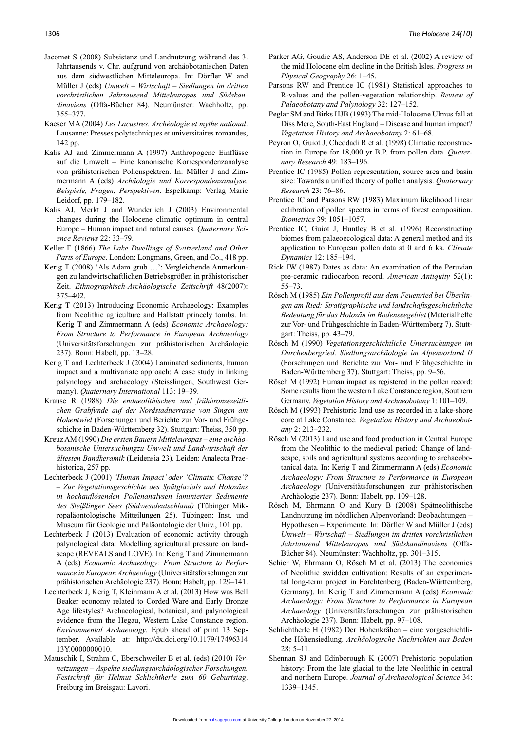- Jacomet S (2008) Subsistenz und Landnutzung während des 3. Jahrtausends v. Chr. aufgrund von archäobotanischen Daten aus dem südwestlichen Mitteleuropa. In: Dörfler W and Müller J (eds) *Umwelt – Wirtschaft – Siedlungen im dritten vorchristlichen Jahrtausend Mitteleuropas und Südskandinaviens* (Offa-Bücher 84). Neumünster: Wachholtz, pp. 355–377.
- Kaeser MA (2004) *Les Lacustres. Archéologie et mythe national*. Lausanne: Presses polytechniques et universitaires romandes, 142 pp.
- Kalis AJ and Zimmermann A (1997) Anthropogene Einflüsse auf die Umwelt – Eine kanonische Korrespondenzanalyse von prähistorischen Pollenspektren. In: Müller J and Zimmermann A (eds) *Archäologie und Korrespondenzanalyse. Beispiele, Fragen, Perspektiven*. Espelkamp: Verlag Marie Leidorf, pp. 179–182.
- Kalis AJ, Merkt J and Wunderlich J (2003) Environmental changes during the Holocene climatic optimum in central Europe – Human impact and natural causes. *Quaternary Science Reviews* 22: 33–79.
- Keller F (1866) *The Lake Dwellings of Switzerland and Other Parts of Europe*. London: Longmans, Green, and Co., 418 pp.
- Kerig T (2008) 'Als Adam grub …': Vergleichende Anmerkungen zu landwirtschaftlichen Betriebsgrößen in prähistorischer Zeit. *Ethnographisch-Archäologische Zeitschrift* 48(2007): 375–402.
- Kerig T (2013) Introducing Economic Archaeology: Examples from Neolithic agriculture and Hallstatt princely tombs. In: Kerig T and Zimmermann A (eds) *Economic Archaeology: From Structure to Performance in European Archaeology* (Universitätsforschungen zur prähistorischen Archäologie 237). Bonn: Habelt, pp. 13–28.
- Kerig T and Lechterbeck J (2004) Laminated sediments, human impact and a multivariate approach: A case study in linking palynology and archaeology (Steisslingen, Southwest Germany). *Quaternary International* 113: 19–39.
- Krause R (1988) *Die endneolithischen und frühbronzezeitlichen Grabfunde auf der Nordstadtterrasse von Singen am Hohentwiel* (Forschungen und Berichte zur Vor- und Frühgeschichte in Baden-Württemberg 32). Stuttgart: Theiss, 350 pp.
- Kreuz AM (1990) *Die ersten Bauern Mitteleuropas eine archäobotanische Untersuchungzu Umwelt und Landwirtschaft der ältesten Bandkeramik* (Leidensia 23). Leiden: Analecta Praehistorica, 257 pp.
- Lechterbeck J (2001) *'Human Impact' oder 'Climatic Change'? – Zur Vegetationsgeschichte des Spätglazials und Holozäns in hochauflösenden Pollenanalysen laminierter Sedimente des Steißlinger Sees (Südwestdeutschland)* (Tübinger Mikropaläontologische Mitteilungen 25). Tübingen: Inst. und Museum für Geologie und Paläontologie der Univ., 101 pp.
- Lechterbeck J (2013) Evaluation of economic activity through palynological data: Modelling agricultural pressure on landscape (REVEALS and LOVE). In: Kerig T and Zimmermann A (eds) *Economic Archaeology: From Structure to Performance in European Archaeology* (Universitätsforschungen zur prähistorischen Archäologie 237). Bonn: Habelt, pp. 129–141.
- Lechterbeck J, Kerig T, Kleinmann A et al. (2013) How was Bell Beaker economy related to Corded Ware and Early Bronze Age lifestyles? Archaeological, botanical, and palynological evidence from the Hegau, Western Lake Constance region. *Environmental Archaeology*. Epub ahead of print 13 Sep[tember. Available at: http://dx.doi.org/10.1179/17496314](http://dx.doi.org/10.1179/1749631413Y.0000000010) 13Y.0000000010.
- Matuschik I, Strahm C, Eberschweiler B et al. (eds) (2010) *Vernetzungen – Aspekte siedlungsarchäologischer Forschungen. Festschrift für Helmut Schlichtherle zum 60 Geburtstag*. Freiburg im Breisgau: Lavori.
- Parker AG, Goudie AS, Anderson DE et al. (2002) A review of the mid Holocene elm decline in the British Isles. *Progress in Physical Geography* 26: 1–45.
- Parsons RW and Prentice IC (1981) Statistical approaches to R-values and the pollen-vegetation relationship. *Review of Palaeobotany and Palynology* 32: 127–152.
- Peglar SM and Birks HJB (1993) The mid-Holocene Ulmus fall at Diss Mere, South-East England – Disease and human impact? *Vegetation History and Archaeobotany* 2: 61–68.
- Peyron O, Guiot J, Cheddadi R et al. (1998) Climatic reconstruction in Europe for 18,000 yr B.P. from pollen data. *Quaternary Research* 49: 183–196.
- Prentice IC (1985) Pollen representation, source area and basin size: Towards a unified theory of pollen analysis. *Quaternary Research* 23: 76–86.
- Prentice IC and Parsons RW (1983) Maximum likelihood linear calibration of pollen spectra in terms of forest composition. *Biometrics* 39: 1051–1057.
- Prentice IC, Guiot J, Huntley B et al. (1996) Reconstructing biomes from palaeoecological data: A general method and its application to European pollen data at 0 and 6 ka. *Climate Dynamics* 12: 185–194.
- Rick JW (1987) Dates as data: An examination of the Peruvian pre-ceramic radiocarbon record. *American Antiquity* 52(1): 55–73.
- Rösch M (1985) *Ein Pollenprofil aus dem Feuenried bei Überlingen am Ried: Stratigraphische und landschaftsgeschichtliche Bedeutung für das Holozän im Bodenseegebiet* (Materialhefte zur Vor- und Frühgeschichte in Baden-Württemberg 7). Stuttgart: Theiss, pp. 43–79.
- Rösch M (1990) *Vegetationsgeschichtliche Untersuchungen im Durchenbergried. Siedlungsarchäologie im Alpenvorland II* (Forschungen und Berichte zur Vor- und Frühgeschichte in Baden-Württemberg 37). Stuttgart: Theiss, pp. 9–56.
- Rösch M (1992) Human impact as registered in the pollen record: Some results from the western Lake Constance region, Southern Germany. *Vegetation History and Archaeobotany* 1: 101–109.
- Rösch M (1993) Prehistoric land use as recorded in a lake-shore core at Lake Constance. *Vegetation History and Archaeobotany* 2: 213–232.
- Rösch M (2013) Land use and food production in Central Europe from the Neolithic to the medieval period: Change of landscape, soils and agricultural systems according to archaeobotanical data. In: Kerig T and Zimmermann A (eds) *Economic Archaeology: From Structure to Performance in European Archaeology* (Universitätsforschungen zur prähistorischen Archäologie 237). Bonn: Habelt, pp. 109–128.
- Rösch M, Ehrmann O and Kury B (2008) Spätneolithische Landnutzung im nördlichen Alpenvorland: Beobachtungen – Hypothesen – Experimente. In: Dörfler W and Müller J (eds) *Umwelt – Wirtschaft – Siedlungen im dritten vorchristlichen Jahrtausend Mitteleuropas und Südskandinaviens* (Offa-Bücher 84). Neumünster: Wachholtz, pp. 301–315.
- Schier W, Ehrmann O, Rösch M et al. (2013) The economics of Neolithic swidden cultivation: Results of an experimental long-term project in Forchtenberg (Baden-Württemberg, Germany). In: Kerig T and Zimmermann A (eds) *Economic Archaeology: From Structure to Performance in European Archaeology* (Universitätsforschungen zur prähistorischen Archäologie 237). Bonn: Habelt, pp. 97–108.
- Schlichtherle H (1982) Der Hohenkrähen eine vorgeschichtliche Höhensiedlung. *Archäologische Nachrichten aus Baden* 28: 5–11.
- Shennan SJ and Edinborough K (2007) Prehistoric population history: From the late glacial to the late Neolithic in central and northern Europe. *Journal of Archaeological Science* 34: 1339–1345.